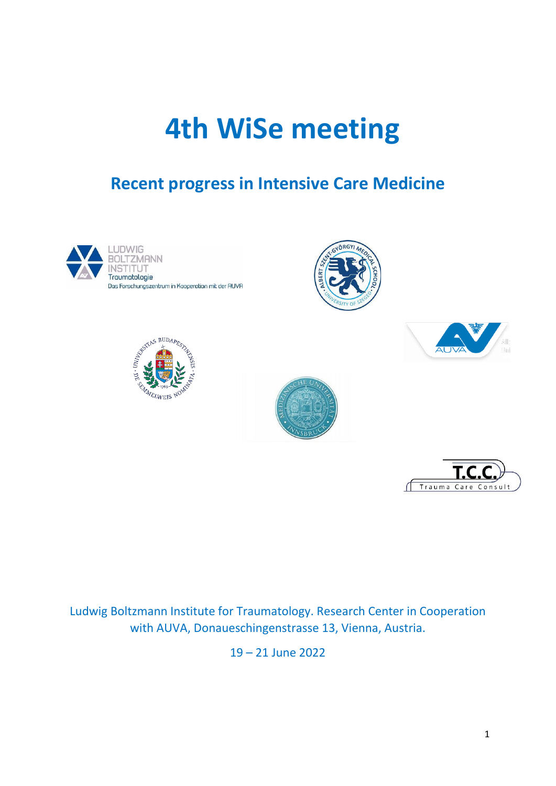# **4th WiSe meeting**

# **Recent progress in Intensive Care Medicine**













Ludwig Boltzmann Institute for Traumatology. Research Center in Cooperation with AUVA, Donaueschingenstrasse 13, Vienna, Austria.

19 – 21 June 2022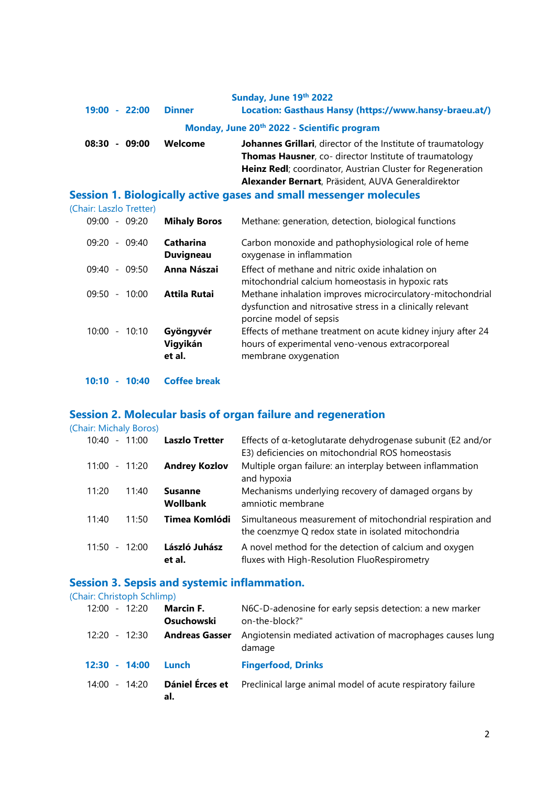| Sunday, June 19th 2022                      |               |                                                                      |  |  |
|---------------------------------------------|---------------|----------------------------------------------------------------------|--|--|
| $19:00 - 22:00$                             | <b>Dinner</b> | Location: Gasthaus Hansy (https://www.hansy-braeu.at/)               |  |  |
| Monday, June 20th 2022 - Scientific program |               |                                                                      |  |  |
| 08:30<br>09:00<br>$\sim$                    | Welcome       | <b>Johannes Grillari</b> , director of the Institute of traumatology |  |  |
|                                             |               | <b>Thomas Hausner, co- director Institute of traumatology</b>        |  |  |
|                                             |               | Heinz Redl; coordinator, Austrian Cluster for Regeneration           |  |  |
|                                             |               | Alexander Bernart, Präsident, AUVA Generaldirektor                   |  |  |

# **Session 1. Biologically active gases and small messenger molecules**

(Chair: Laszlo Tretter)

| 09:20<br>09:00<br>$\sim$                   | <b>Mihaly Boros</b>             | Methane: generation, detection, biological functions                                                                                                 |
|--------------------------------------------|---------------------------------|------------------------------------------------------------------------------------------------------------------------------------------------------|
| 09:40<br>09:20<br>$\overline{\phantom{a}}$ | Catharina<br><b>Duvigneau</b>   | Carbon monoxide and pathophysiological role of heme<br>oxygenase in inflammation                                                                     |
| 09:50<br>09:40<br>$ \,$                    | Anna Nászai                     | Effect of methane and nitric oxide inhalation on<br>mitochondrial calcium homeostasis in hypoxic rats                                                |
| 09:50<br>10:00<br>$\overline{\phantom{a}}$ | <b>Attila Rutai</b>             | Methane inhalation improves microcirculatory-mitochondrial<br>dysfunction and nitrosative stress in a clinically relevant<br>porcine model of sepsis |
| 10:10<br>10:00<br>$\overline{\phantom{a}}$ | Gyöngyvér<br>Vigyikán<br>et al. | Effects of methane treatment on acute kidney injury after 24<br>hours of experimental veno-venous extracorporeal<br>membrane oxygenation             |

**10:10 - 10:40 Coffee break**

## **Session 2. Molecular basis of organ failure and regeneration**

(Chair: Michaly Boros)

| 10:40                             | $-11:00$ | <b>Laszlo Tretter</b>      | Effects of $\alpha$ -ketoglutarate dehydrogenase subunit (E2 and/or<br>E3) deficiencies on mitochondrial ROS homeostasis |
|-----------------------------------|----------|----------------------------|--------------------------------------------------------------------------------------------------------------------------|
| 11:00                             | $-11:20$ | <b>Andrey Kozlov</b>       | Multiple organ failure: an interplay between inflammation<br>and hypoxia                                                 |
| 11:20                             | 11:40    | <b>Susanne</b><br>Wollbank | Mechanisms underlying recovery of damaged organs by<br>amniotic membrane                                                 |
| 11:40                             | 11:50    | Timea Komlódi              | Simultaneous measurement of mitochondrial respiration and<br>the coenzmye Q redox state in isolated mitochondria         |
| 11:50<br>$\overline{\phantom{a}}$ | 12:00    | László Juhász<br>et al.    | A novel method for the detection of calcium and oxygen<br>fluxes with High-Resolution FluoRespirometry                   |

# **Session 3. Sepsis and systemic inflammation.**

#### (Chair: Christoph Schlimp)

| 12:00<br>$-12:20$ | <b>Marcin F.</b><br><b>Osuchowski</b> | N6C-D-adenosine for early sepsis detection: a new marker<br>on-the-block?" |
|-------------------|---------------------------------------|----------------------------------------------------------------------------|
| 12:20 - 12:30     | <b>Andreas Gasser</b>                 | Angiotensin mediated activation of macrophages causes lung<br>damage       |
| $12:30 - 14:00$   | Lunch                                 | <b>Fingerfood, Drinks</b>                                                  |
| $-14:20$<br>14:00 | Dániel Érces et<br>al.                | Preclinical large animal model of acute respiratory failure                |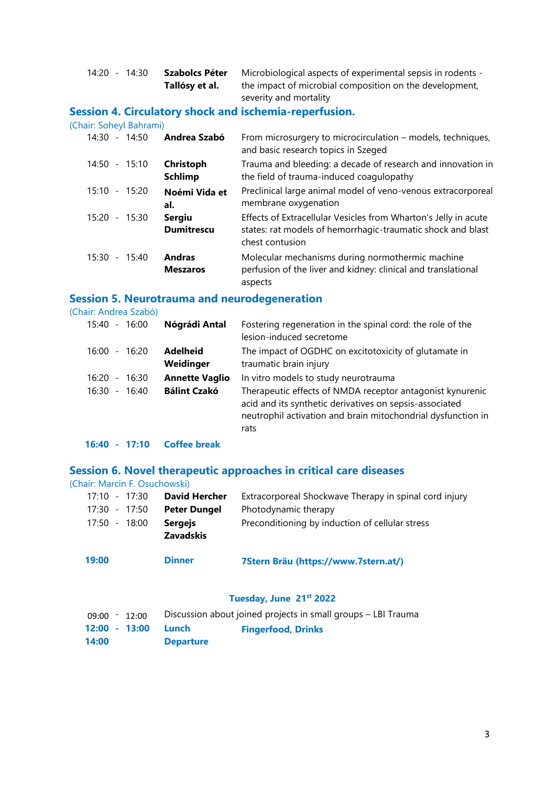| 14:20 - 14:30 | Szabolcs Péter | Microbiological aspects of experimental sepsis in rodents - |
|---------------|----------------|-------------------------------------------------------------|
|               | Tallósy et al. | the impact of microbial composition on the development,     |
|               |                | severity and mortality                                      |

### **Session 4. Circulatory shock and ischemia-reperfusion.**

(Chair: Soheyl Bahrami)

| $14:30 - 14:50$ | Andrea Szabó                       | From microsurgery to microcirculation – models, techniques,<br>and basic research topics in Szeged                                                |
|-----------------|------------------------------------|---------------------------------------------------------------------------------------------------------------------------------------------------|
| $14:50 - 15:10$ | Christoph<br><b>Schlimp</b>        | Trauma and bleeding: a decade of research and innovation in<br>the field of trauma-induced coagulopathy                                           |
| $15:10 - 15:20$ | Noémi Vida et<br>al.               | Preclinical large animal model of veno-venous extracorporeal<br>membrane oxygenation                                                              |
| $15:20 - 15:30$ | <b>Sergiu</b><br><b>Dumitrescu</b> | Effects of Extracellular Vesicles from Wharton's Jelly in acute<br>states: rat models of hemorrhagic-traumatic shock and blast<br>chest contusion |
| $15:30 - 15:40$ | <b>Andras</b><br><b>Meszaros</b>   | Molecular mechanisms during normothermic machine<br>perfusion of the liver and kidney: clinical and translational<br>aspects                      |

### **Session 5. Neurotrauma and neurodegeneration**

(Chair: Andrea Szabó)

| $-16:00$<br>15:40 | Nógrádi Antal                | Fostering regeneration in the spinal cord: the role of the<br>lesion-induced secretome                                                                                                       |
|-------------------|------------------------------|----------------------------------------------------------------------------------------------------------------------------------------------------------------------------------------------|
| $-16:20$<br>16:00 | <b>Adelheid</b><br>Weidinger | The impact of OGDHC on excitotoxicity of glutamate in<br>traumatic brain injury                                                                                                              |
| $-16:30$<br>16:20 | <b>Annette Vaglio</b>        | In vitro models to study neurotrauma                                                                                                                                                         |
| $-16:40$<br>16:30 | <b>Bálint Czakó</b>          | Therapeutic effects of NMDA receptor antagonist kynurenic<br>acid and its synthetic derivatives on sepsis-associated<br>neutrophil activation and brain mitochondrial dysfunction in<br>rats |

#### **16:40 - 17:10 Coffee break**

### **Session 6. Novel therapeutic approaches in critical care diseases**

#### (Chair: Marcin F. Osuchowski)

| 17:10 - 17:30 | <b>David Hercher</b>               | Extracorporeal Shockwave Therapy in spinal cord injury |
|---------------|------------------------------------|--------------------------------------------------------|
| 17:30 - 17:50 | <b>Peter Dungel</b>                | Photodynamic therapy                                   |
| 17:50 - 18:00 | <b>Sergejs</b><br><b>Zavadskis</b> | Preconditioning by induction of cellular stress        |

| 19:00 | <b>Dinner</b> |  | 7Stern Bräu (https://www.7stern.at/) |
|-------|---------------|--|--------------------------------------|
|-------|---------------|--|--------------------------------------|

#### **Tuesday, June 21st 2022**

| 14:00           |                 | <b>Departure</b>                                              |                           |  |  |
|-----------------|-----------------|---------------------------------------------------------------|---------------------------|--|--|
|                 | $12:00 - 13:00$ | Lunch                                                         | <b>Fingerfood, Drinks</b> |  |  |
| $09:00 - 12:00$ |                 | Discussion about joined projects in small groups - LBI Trauma |                           |  |  |